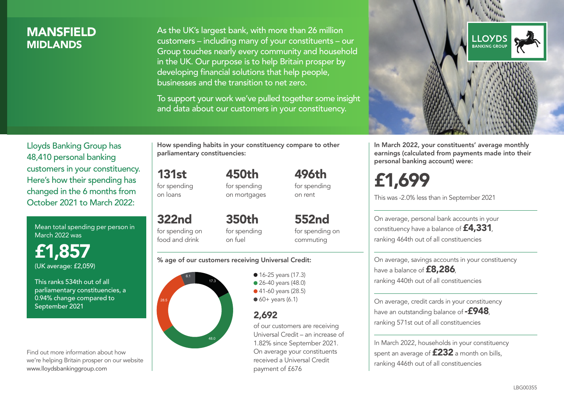### **MANSFIELD MIDI ANDS**

As the UK's largest bank, with more than 26 million customers – including many of your constituents – our Group touches nearly every community and household in the UK. Our purpose is to help Britain prosper by developing financial solutions that help people, businesses and the transition to net zero.

To support your work we've pulled together some insight and data about our customers in your constituency.



Mean total spending per person in March 2022 was

£1,857 (UK average: £2,059)

This ranks 534th out of all parliamentary constituencies, a 0.94% change compared to September 2021

Find out more information about how we're helping Britain prosper on our website www.lloydsbankinggroup.com

How spending habits in your constituency compare to other parliamentary constituencies:

> 450th for spending on mortgages

131st for spending on loans

food and drink

322nd for spending on 350th

for spending on fuel

for spending on commuting

552nd

496th for spending on rent

#### % age of our customers receiving Universal Credit:



• 16-25 years (17.3) ● 26-40 years (48.0) ● 41-60 years (28.5)  $60+$  years (6.1)

### 2,692

of our customers are receiving Universal Credit – an increase of 1.82% since September 2021. On average your constituents received a Universal Credit payment of £676



In March 2022, your constituents' average monthly earnings (calculated from payments made into their personal banking account) were:

# £1,699

This was -2.0% less than in September 2021

On average, personal bank accounts in your constituency have a balance of £4,331, ranking 464th out of all constituencies

On average, savings accounts in your constituency have a balance of **£8,286**, ranking 440th out of all constituencies

On average, credit cards in your constituency have an outstanding balance of **-£948**. ranking 571st out of all constituencies

In March 2022, households in your constituency spent an average of **£232** a month on bills, ranking 446th out of all constituencies